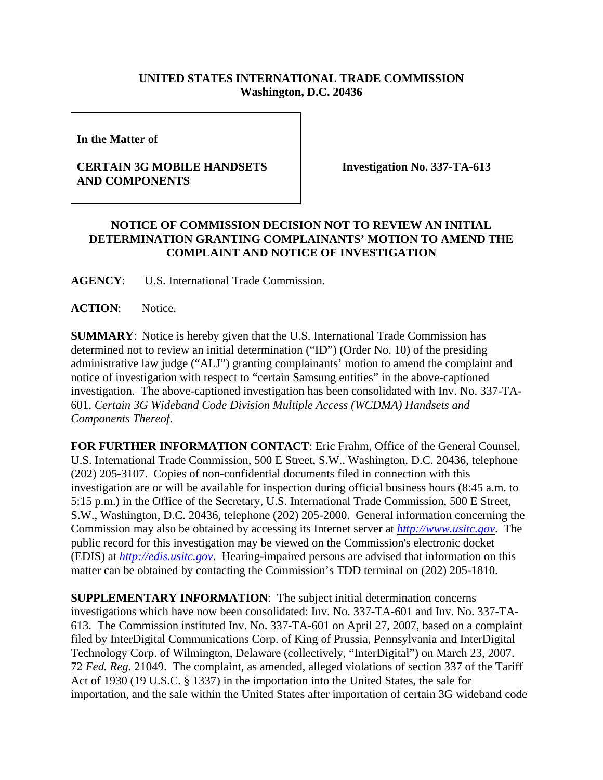## **UNITED STATES INTERNATIONAL TRADE COMMISSION Washington, D.C. 20436**

**In the Matter of** 

## **CERTAIN 3G MOBILE HANDSETS AND COMPONENTS**

**Investigation No. 337-TA-613**

## **NOTICE OF COMMISSION DECISION NOT TO REVIEW AN INITIAL DETERMINATION GRANTING COMPLAINANTS' MOTION TO AMEND THE COMPLAINT AND NOTICE OF INVESTIGATION**

**AGENCY**: U.S. International Trade Commission.

ACTION: Notice.

**SUMMARY**: Notice is hereby given that the U.S. International Trade Commission has determined not to review an initial determination ("ID") (Order No. 10) of the presiding administrative law judge ("ALJ") granting complainants' motion to amend the complaint and notice of investigation with respect to "certain Samsung entities" in the above-captioned investigation. The above-captioned investigation has been consolidated with Inv. No. 337-TA-601, *Certain 3G Wideband Code Division Multiple Access (WCDMA) Handsets and Components Thereof*.

**FOR FURTHER INFORMATION CONTACT**: Eric Frahm, Office of the General Counsel, U.S. International Trade Commission, 500 E Street, S.W., Washington, D.C. 20436, telephone (202) 205-3107. Copies of non-confidential documents filed in connection with this investigation are or will be available for inspection during official business hours (8:45 a.m. to 5:15 p.m.) in the Office of the Secretary, U.S. International Trade Commission, 500 E Street, S.W., Washington, D.C. 20436, telephone (202) 205-2000. General information concerning the Commission may also be obtained by accessing its Internet server at *http://www.usitc.gov*. The public record for this investigation may be viewed on the Commission's electronic docket (EDIS) at *http://edis.usitc.gov*. Hearing-impaired persons are advised that information on this matter can be obtained by contacting the Commission's TDD terminal on (202) 205-1810.

**SUPPLEMENTARY INFORMATION**: The subject initial determination concerns investigations which have now been consolidated: Inv. No. 337-TA-601 and Inv. No. 337-TA-613. The Commission instituted Inv. No. 337-TA-601 on April 27, 2007, based on a complaint filed by InterDigital Communications Corp. of King of Prussia, Pennsylvania and InterDigital Technology Corp. of Wilmington, Delaware (collectively, "InterDigital") on March 23, 2007. 72 *Fed. Reg.* 21049. The complaint, as amended, alleged violations of section 337 of the Tariff Act of 1930 (19 U.S.C. § 1337) in the importation into the United States, the sale for importation, and the sale within the United States after importation of certain 3G wideband code